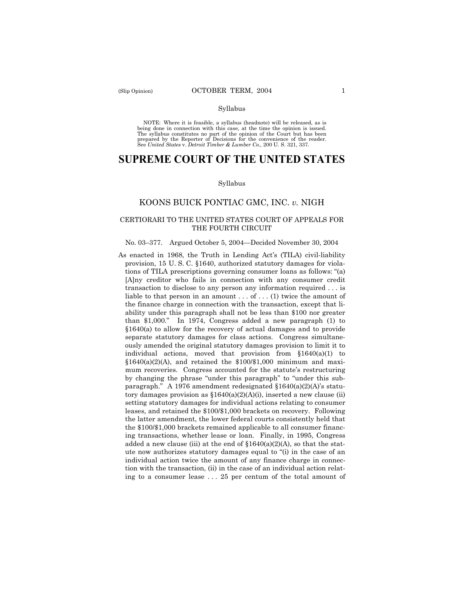#### Syllabus

NOTE: Where it is feasible, a syllabus (headnote) will be released, as is being done in connection with this case, at the time the opinion is issued. The syllabus constitutes no part of the opinion of the Court but has been<br>prepared by the Reporter of Decisions for the convenience of the reader.<br>See United States v. Detroit Timber & Lumber Co., 200 U. S. 321, 337.

# **SUPREME COURT OF THE UNITED STATES**

#### Syllabus

# KOONS BUICK PONTIAC GMC, INC. *v.* NIGH

### CERTIORARI TO THE UNITED STATES COURT OF APPEALS FOR THE FOURTH CIRCUIT

#### No. 03–377. Argued October 5, 2004—Decided November 30, 2004

As enacted in 1968, the Truth in Lending Act's (TILA) civil-liability provision, 15 U. S. C. §1640, authorized statutory damages for violations of TILA prescriptions governing consumer loans as follows: "(a) [A]ny creditor who fails in connection with any consumer credit transaction to disclose to any person any information required . . . is liable to that person in an amount . . . of . . . (1) twice the amount of the finance charge in connection with the transaction, except that liability under this paragraph shall not be less than \$100 nor greater than \$1,000." In 1974, Congress added a new paragraph (1) to §1640(a) to allow for the recovery of actual damages and to provide separate statutory damages for class actions. Congress simultaneously amended the original statutory damages provision to limit it to individual actions, moved that provision from  $$1640(a)(1)$  to  $$1640(a)(2)(A)$ , and retained the  $$100/$1,000$  minimum and maximum recoveries. Congress accounted for the statute's restructuring by changing the phrase "under this paragraph" to "under this subparagraph." A 1976 amendment redesignated  $$1640(a)(2)(A)$ 's statutory damages provision as  $$1640(a)(2)(A)(i)$ , inserted a new clause (ii) setting statutory damages for individual actions relating to consumer leases, and retained the \$100/\$1,000 brackets on recovery. Following the latter amendment, the lower federal courts consistently held that the \$100/\$1,000 brackets remained applicable to all consumer financing transactions, whether lease or loan. Finally, in 1995, Congress added a new clause (iii) at the end of  $$1640(a)(2)(A)$ , so that the statute now authorizes statutory damages equal to "(i) in the case of an individual action twice the amount of any finance charge in connection with the transaction, (ii) in the case of an individual action relating to a consumer lease . . . 25 per centum of the total amount of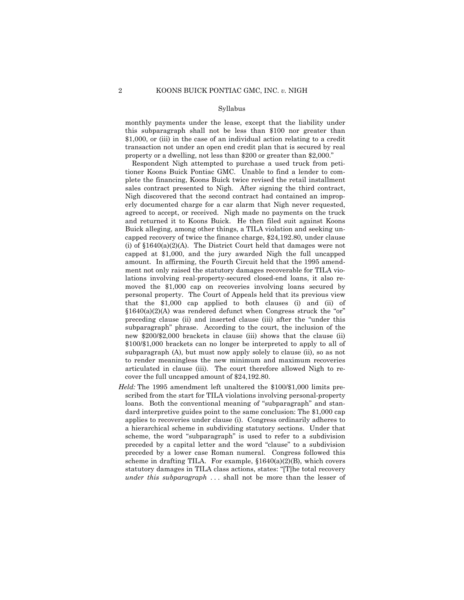#### Syllabus

monthly payments under the lease, except that the liability under this subparagraph shall not be less than \$100 nor greater than \$1,000, or (iii) in the case of an individual action relating to a credit transaction not under an open end credit plan that is secured by real property or a dwelling, not less than \$200 or greater than \$2,000."

Respondent Nigh attempted to purchase a used truck from petitioner Koons Buick Pontiac GMC. Unable to find a lender to complete the financing, Koons Buick twice revised the retail installment sales contract presented to Nigh. After signing the third contract, Nigh discovered that the second contract had contained an improperly documented charge for a car alarm that Nigh never requested, agreed to accept, or received. Nigh made no payments on the truck and returned it to Koons Buick. He then filed suit against Koons Buick alleging, among other things, a TILA violation and seeking uncapped recovery of twice the finance charge, \$24,192.80, under clause (i) of  $$1640(a)(2)(A)$ . The District Court held that damages were not capped at \$1,000, and the jury awarded Nigh the full uncapped amount. In affirming, the Fourth Circuit held that the 1995 amendment not only raised the statutory damages recoverable for TILA violations involving real-property-secured closed-end loans, it also removed the \$1,000 cap on recoveries involving loans secured by personal property. The Court of Appeals held that its previous view that the \$1,000 cap applied to both clauses (i) and (ii) of  $$1640(a)(2)(A)$  was rendered defunct when Congress struck the "or" preceding clause (ii) and inserted clause (iii) after the "under this subparagraph" phrase. According to the court, the inclusion of the new \$200/\$2,000 brackets in clause (iii) shows that the clause (ii) \$100/\$1,000 brackets can no longer be interpreted to apply to all of subparagraph (A), but must now apply solely to clause (ii), so as not to render meaningless the new minimum and maximum recoveries articulated in clause (iii). The court therefore allowed Nigh to recover the full uncapped amount of \$24,192.80.

*Held:* The 1995 amendment left unaltered the \$100/\$1,000 limits prescribed from the start for TILA violations involving personal-property loans. Both the conventional meaning of "subparagraph" and standard interpretive guides point to the same conclusion: The \$1,000 cap applies to recoveries under clause (i). Congress ordinarily adheres to a hierarchical scheme in subdividing statutory sections. Under that scheme, the word "subparagraph" is used to refer to a subdivision preceded by a capital letter and the word "clause" to a subdivision preceded by a lower case Roman numeral. Congress followed this scheme in drafting TILA. For example,  $$1640(a)(2)(B)$ , which covers statutory damages in TILA class actions, states: "[T]he total recovery *under this subparagraph* . . . shall not be more than the lesser of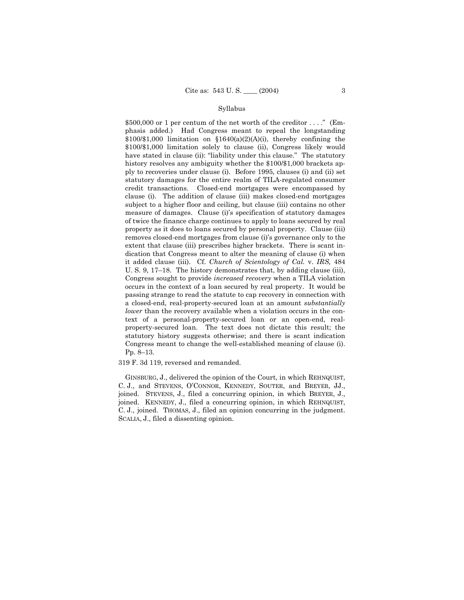#### Syllabus

\$500,000 or 1 per centum of the net worth of the creditor . . . ." (Emphasis added.) Had Congress meant to repeal the longstanding  $$100/\$1,000$  limitation on  $$1640(a)(2)(A)(i)$ , thereby confining the \$100/\$1,000 limitation solely to clause (ii), Congress likely would have stated in clause (ii): "liability under this clause." The statutory history resolves any ambiguity whether the \$100/\$1,000 brackets apply to recoveries under clause (i). Before 1995, clauses (i) and (ii) set statutory damages for the entire realm of TILA-regulated consumer credit transactions. Closed-end mortgages were encompassed by clause (i). The addition of clause (iii) makes closed-end mortgages subject to a higher floor and ceiling, but clause (iii) contains no other measure of damages. Clause (i)'s specification of statutory damages of twice the finance charge continues to apply to loans secured by real property as it does to loans secured by personal property. Clause (iii) removes closed-end mortgages from clause (i)'s governance only to the extent that clause (iii) prescribes higher brackets. There is scant indication that Congress meant to alter the meaning of clause (i) when it added clause (iii). Cf. *Church of Scientology of Cal.* v. *IRS,* 484 U. S. 9, 17–18. The history demonstrates that, by adding clause (iii), Congress sought to provide *increased recovery* when a TILA violation occurs in the context of a loan secured by real property. It would be passing strange to read the statute to cap recovery in connection with a closed-end, real-property-secured loan at an amount *substantially lower* than the recovery available when a violation occurs in the context of a personal-property-secured loan or an open-end, realproperty-secured loan. The text does not dictate this result; the statutory history suggests otherwise; and there is scant indication Congress meant to change the well-established meaning of clause (i). Pp. 8–13.

319 F. 3d 119, reversed and remanded.

GINSBURG, J., delivered the opinion of the Court, in which REHNQUIST, C. J., and STEVENS, O'CONNOR, KENNEDY, SOUTER, and BREYER, JJ., joined. STEVENS, J., filed a concurring opinion, in which BREYER, J., joined. KENNEDY, J., filed a concurring opinion, in which REHNQUIST, C. J., joined. THOMAS, J., filed an opinion concurring in the judgment. SCALIA, J., filed a dissenting opinion.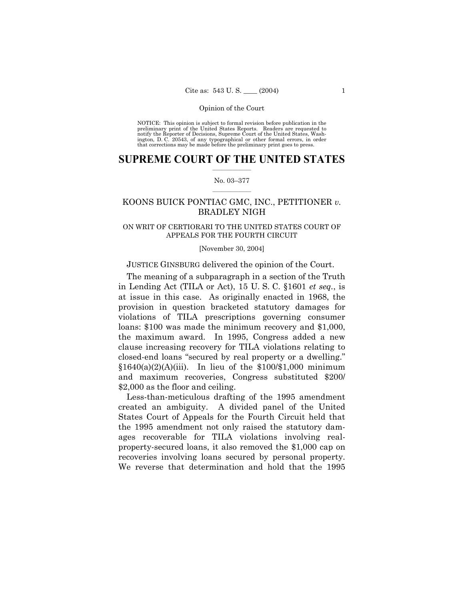NOTICE: This opinion is subject to formal revision before publication in the preliminary print of the United States Reports. Readers are requested to notify the Reporter of Decisions, Supreme Court of the United States, Washington, D. C. 20543, of any typographical or other formal errors, in order that corrections may be made before the preliminary print goes to press.

# $\frac{1}{2}$  ,  $\frac{1}{2}$  ,  $\frac{1}{2}$  ,  $\frac{1}{2}$  ,  $\frac{1}{2}$  ,  $\frac{1}{2}$  ,  $\frac{1}{2}$ **SUPREME COURT OF THE UNITED STATES**

### $\mathcal{L}=\mathcal{L}$ No. 03–377

# KOONS BUICK PONTIAC GMC, INC., PETITIONER *v.*  BRADLEY NIGH

# ON WRIT OF CERTIORARI TO THE UNITED STATES COURT OF APPEALS FOR THE FOURTH CIRCUIT

### [November 30, 2004]

# JUSTICE GINSBURG delivered the opinion of the Court.

The meaning of a subparagraph in a section of the Truth in Lending Act (TILA or Act), 15 U. S. C. §1601 *et seq.*, is at issue in this case. As originally enacted in 1968, the provision in question bracketed statutory damages for violations of TILA prescriptions governing consumer loans: \$100 was made the minimum recovery and \$1,000, the maximum award. In 1995, Congress added a new clause increasing recovery for TILA violations relating to closed-end loans "secured by real property or a dwelling."  $$1640(a)(2)(A)(iii)$ . In lieu of the \$100/\$1,000 minimum and maximum recoveries, Congress substituted \$200/ \$2,000 as the floor and ceiling.

Less-than-meticulous drafting of the 1995 amendment created an ambiguity. A divided panel of the United States Court of Appeals for the Fourth Circuit held that the 1995 amendment not only raised the statutory damages recoverable for TILA violations involving realproperty-secured loans, it also removed the \$1,000 cap on recoveries involving loans secured by personal property. We reverse that determination and hold that the 1995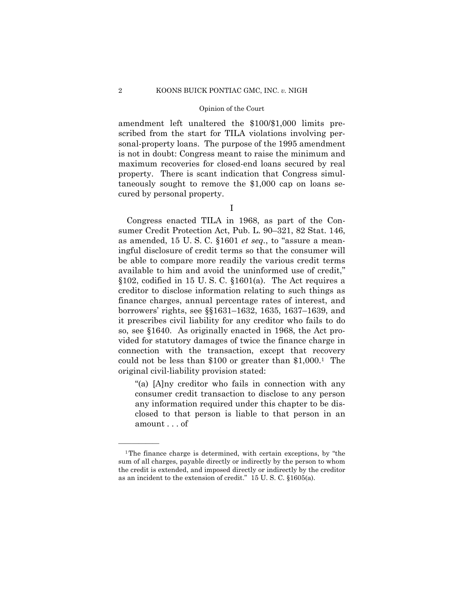amendment left unaltered the \$100/\$1,000 limits prescribed from the start for TILA violations involving personal-property loans. The purpose of the 1995 amendment is not in doubt: Congress meant to raise the minimum and maximum recoveries for closed-end loans secured by real property. There is scant indication that Congress simultaneously sought to remove the \$1,000 cap on loans secured by personal property.

I

Congress enacted TILA in 1968, as part of the Consumer Credit Protection Act, Pub. L. 90–321, 82 Stat. 146, as amended, 15 U. S. C. §1601 *et seq.*, to "assure a meaningful disclosure of credit terms so that the consumer will be able to compare more readily the various credit terms available to him and avoid the uninformed use of credit," §102, codified in 15 U. S. C. §1601(a). The Act requires a creditor to disclose information relating to such things as finance charges, annual percentage rates of interest, and borrowers' rights, see §§1631–1632, 1635, 1637–1639, and it prescribes civil liability for any creditor who fails to do so, see §1640. As originally enacted in 1968, the Act provided for statutory damages of twice the finance charge in connection with the transaction, except that recovery could not be less than \$100 or greater than \$1,000.1 The original civil-liability provision stated:

"(a) [A]ny creditor who fails in connection with any consumer credit transaction to disclose to any person any information required under this chapter to be disclosed to that person is liable to that person in an amount . . . of

<sup>&</sup>lt;sup>1</sup>The finance charge is determined, with certain exceptions, by "the sum of all charges, payable directly or indirectly by the person to whom the credit is extended, and imposed directly or indirectly by the creditor as an incident to the extension of credit." 15 U. S. C. §1605(a).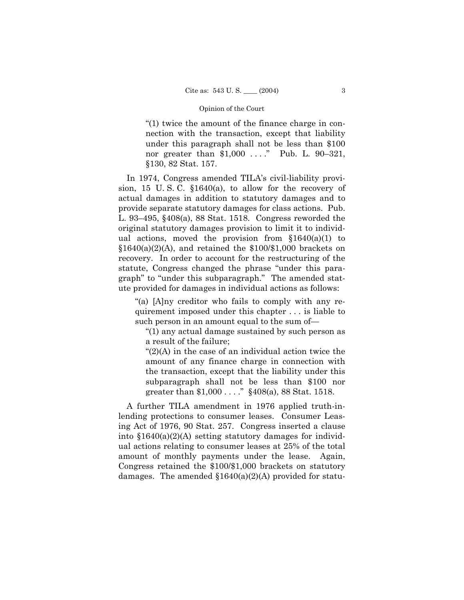"(1) twice the amount of the finance charge in connection with the transaction, except that liability under this paragraph shall not be less than \$100 nor greater than \$1,000 ...." Pub. L. 90-321, §130, 82 Stat. 157.

In 1974, Congress amended TILA's civil-liability provision, 15 U. S. C. §1640(a), to allow for the recovery of actual damages in addition to statutory damages and to provide separate statutory damages for class actions. Pub. L. 93–495, §408(a), 88 Stat. 1518. Congress reworded the original statutory damages provision to limit it to individual actions, moved the provision from  $$1640(a)(1)$  to  $$1640(a)(2)(A)$ , and retained the  $$100/\$1,000$  brackets on recovery. In order to account for the restructuring of the statute, Congress changed the phrase "under this paragraph" to "under this subparagraph." The amended statute provided for damages in individual actions as follows:

"(a) [A]ny creditor who fails to comply with any requirement imposed under this chapter . . . is liable to such person in an amount equal to the sum of—

"(1) any actual damage sustained by such person as a result of the failure;

" $(2)(A)$  in the case of an individual action twice the amount of any finance charge in connection with the transaction, except that the liability under this subparagraph shall not be less than \$100 nor greater than \$1,000 . . . ." §408(a), 88 Stat. 1518.

A further TILA amendment in 1976 applied truth-inlending protections to consumer leases. Consumer Leasing Act of 1976, 90 Stat. 257. Congress inserted a clause into  $$1640(a)(2)(A)$  setting statutory damages for individual actions relating to consumer leases at 25% of the total amount of monthly payments under the lease. Again, Congress retained the \$100/\$1,000 brackets on statutory damages. The amended  $$1640(a)(2)(A)$  provided for statu-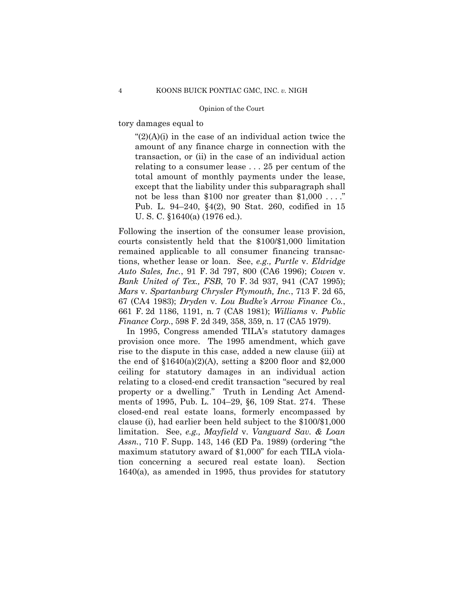tory damages equal to

 $\frac{1}{2}(2)$ (A)(i) in the case of an individual action twice the amount of any finance charge in connection with the transaction, or (ii) in the case of an individual action relating to a consumer lease . . . 25 per centum of the total amount of monthly payments under the lease, except that the liability under this subparagraph shall not be less than \$100 nor greater than  $$1,000...$ . Pub. L. 94–240, §4(2), 90 Stat. 260, codified in 15 U. S. C. §1640(a) (1976 ed.).

Following the insertion of the consumer lease provision, courts consistently held that the \$100/\$1,000 limitation remained applicable to all consumer financing transactions, whether lease or loan. See, *e.g., Purtle* v. *Eldridge Auto Sales, Inc.*, 91 F. 3d 797, 800 (CA6 1996); *Cowen* v. *Bank United of Tex., FSB*, 70 F. 3d 937, 941 (CA7 1995); *Mars* v. *Spartanburg Chrysler Plymouth, Inc.*, 713 F. 2d 65, 67 (CA4 1983); *Dryden* v. *Lou Budke's Arrow Finance Co.*, 661 F. 2d 1186, 1191, n. 7 (CA8 1981); *Williams* v. *Public Finance Corp.*, 598 F. 2d 349, 358, 359, n. 17 (CA5 1979).

In 1995, Congress amended TILA's statutory damages provision once more. The 1995 amendment, which gave rise to the dispute in this case, added a new clause (iii) at the end of  $$1640(a)(2)(A)$ , setting a \$200 floor and \$2,000 ceiling for statutory damages in an individual action relating to a closed-end credit transaction "secured by real property or a dwelling." Truth in Lending Act Amendments of 1995, Pub. L. 104–29, §6, 109 Stat. 274. These closed-end real estate loans, formerly encompassed by clause (i), had earlier been held subject to the \$100/\$1,000 limitation. See, *e.g., Mayfield* v. *Vanguard Sav. & Loan Assn.*, 710 F. Supp. 143, 146 (ED Pa. 1989) (ordering "the maximum statutory award of \$1,000" for each TILA violation concerning a secured real estate loan). Section 1640(a), as amended in 1995, thus provides for statutory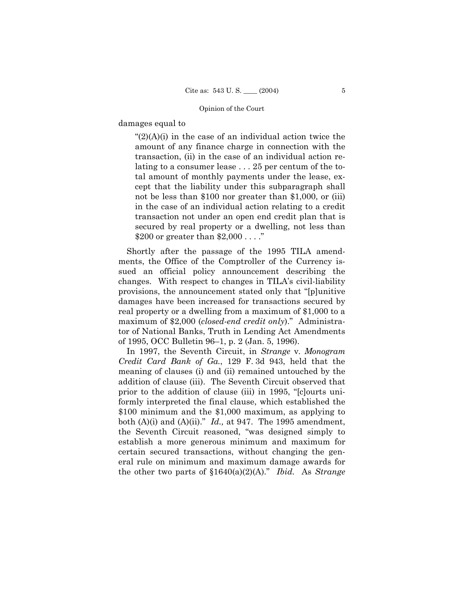damages equal to

 $\frac{1}{2}(2)$ (A)(i) in the case of an individual action twice the amount of any finance charge in connection with the transaction, (ii) in the case of an individual action relating to a consumer lease . . . 25 per centum of the total amount of monthly payments under the lease, except that the liability under this subparagraph shall not be less than \$100 nor greater than \$1,000, or (iii) in the case of an individual action relating to a credit transaction not under an open end credit plan that is secured by real property or a dwelling, not less than \$200 or greater than \$2,000 . . . ."

Shortly after the passage of the 1995 TILA amendments, the Office of the Comptroller of the Currency issued an official policy announcement describing the changes. With respect to changes in TILA's civil-liability provisions, the announcement stated only that "[p]unitive damages have been increased for transactions secured by real property or a dwelling from a maximum of \$1,000 to a maximum of \$2,000 (*closed-end credit only*)." Administrator of National Banks, Truth in Lending Act Amendments of 1995, OCC Bulletin 96–1, p. 2 (Jan. 5, 1996).

In 1997, the Seventh Circuit, in *Strange* v. *Monogram Credit Card Bank of Ga.*, 129 F. 3d 943, held that the meaning of clauses (i) and (ii) remained untouched by the addition of clause (iii). The Seventh Circuit observed that prior to the addition of clause (iii) in 1995, "[c]ourts uniformly interpreted the final clause, which established the \$100 minimum and the \$1,000 maximum, as applying to both (A)(i) and (A)(ii)." *Id.,* at 947. The 1995 amendment, the Seventh Circuit reasoned, "was designed simply to establish a more generous minimum and maximum for certain secured transactions, without changing the general rule on minimum and maximum damage awards for the other two parts of §1640(a)(2)(A)." *Ibid.* As *Strange*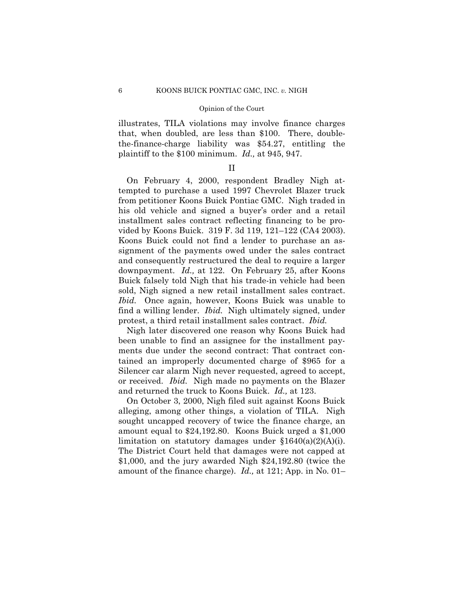illustrates, TILA violations may involve finance charges that, when doubled, are less than \$100. There, doublethe-finance-charge liability was \$54.27, entitling the plaintiff to the \$100 minimum. *Id.,* at 945, 947.

# II

On February 4, 2000, respondent Bradley Nigh attempted to purchase a used 1997 Chevrolet Blazer truck from petitioner Koons Buick Pontiac GMC. Nigh traded in his old vehicle and signed a buyer's order and a retail installment sales contract reflecting financing to be provided by Koons Buick. 319 F. 3d 119, 121–122 (CA4 2003). Koons Buick could not find a lender to purchase an assignment of the payments owed under the sales contract and consequently restructured the deal to require a larger downpayment. *Id.,* at 122. On February 25, after Koons Buick falsely told Nigh that his trade-in vehicle had been sold, Nigh signed a new retail installment sales contract. *Ibid.* Once again, however, Koons Buick was unable to find a willing lender. *Ibid.* Nigh ultimately signed, under protest, a third retail installment sales contract. *Ibid.* 

Nigh later discovered one reason why Koons Buick had been unable to find an assignee for the installment payments due under the second contract: That contract contained an improperly documented charge of \$965 for a Silencer car alarm Nigh never requested, agreed to accept, or received. *Ibid.* Nigh made no payments on the Blazer and returned the truck to Koons Buick. *Id.,* at 123.

On October 3, 2000, Nigh filed suit against Koons Buick alleging, among other things, a violation of TILA. Nigh sought uncapped recovery of twice the finance charge, an amount equal to \$24,192.80. Koons Buick urged a \$1,000 limitation on statutory damages under  $$1640(a)(2)(A)(i)$ . The District Court held that damages were not capped at \$1,000, and the jury awarded Nigh \$24,192.80 (twice the amount of the finance charge). *Id.,* at 121; App. in No. 01–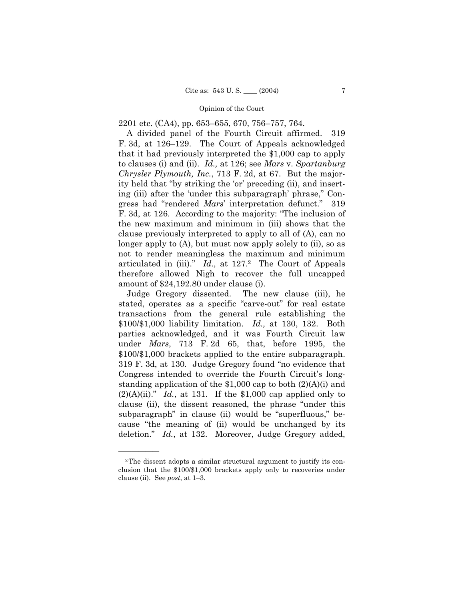2201 etc. (CA4), pp. 653–655, 670, 756–757, 764.

A divided panel of the Fourth Circuit affirmed. 319 F. 3d, at 126–129. The Court of Appeals acknowledged that it had previously interpreted the \$1,000 cap to apply to clauses (i) and (ii). *Id.,* at 126; see *Mars* v. *Spartanburg Chrysler Plymouth, Inc.*, 713 F. 2d, at 67. But the majority held that "by striking the 'or' preceding (ii), and inserting (iii) after the 'under this subparagraph' phrase," Congress had "rendered *Mars*' interpretation defunct." 319 F. 3d, at 126. According to the majority: "The inclusion of the new maximum and minimum in (iii) shows that the clause previously interpreted to apply to all of (A), can no longer apply to (A), but must now apply solely to (ii), so as not to render meaningless the maximum and minimum articulated in (iii)." *Id.*, at 127.<sup>2</sup> The Court of Appeals therefore allowed Nigh to recover the full uncapped amount of \$24,192.80 under clause (i).

Judge Gregory dissented. The new clause (iii), he stated, operates as a specific "carve-out" for real estate transactions from the general rule establishing the \$100/\$1,000 liability limitation. *Id.,* at 130, 132. Both parties acknowledged, and it was Fourth Circuit law under *Mars*, 713 F. 2d 65, that, before 1995, the \$100/\$1,000 brackets applied to the entire subparagraph. 319 F. 3d, at 130*.* Judge Gregory found "no evidence that Congress intended to override the Fourth Circuit's longstanding application of the \$1,000 cap to both (2)(A)(i) and  $(2)(A)(ii)$ ." *Id.*, at 131. If the \$1,000 cap applied only to clause (ii), the dissent reasoned, the phrase "under this subparagraph" in clause (ii) would be "superfluous," because "the meaning of (ii) would be unchanged by its deletion." *Id.*, at 132. Moreover, Judge Gregory added,

<sup>2</sup>The dissent adopts a similar structural argument to justify its conclusion that the \$100/\$1,000 brackets apply only to recoveries under clause (ii). See *post*, at 1–3.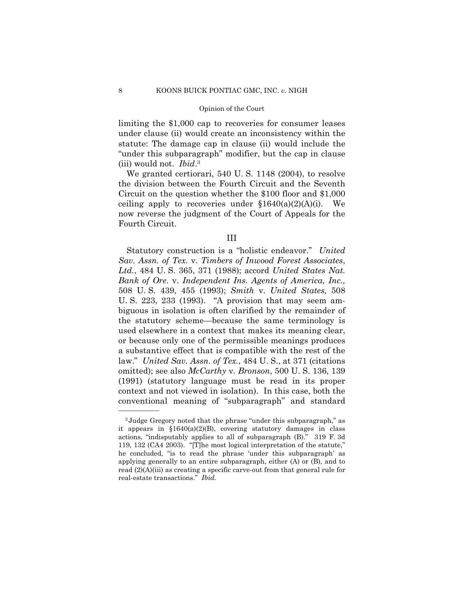limiting the \$1,000 cap to recoveries for consumer leases under clause (ii) would create an inconsistency within the statute: The damage cap in clause (ii) would include the "under this subparagraph" modifier, but the cap in clause  $(iii)$  would not. *Ibid*.<sup>3</sup>

We granted certiorari, 540 U. S. 1148 (2004), to resolve the division between the Fourth Circuit and the Seventh Circuit on the question whether the \$100 floor and \$1,000 ceiling apply to recoveries under  $$1640(a)(2)(A)(i)$ . We now reverse the judgment of the Court of Appeals for the Fourth Circuit.

III

Statutory construction is a "holistic endeavor." *United Sav. Assn. of Tex*. v. *Timbers of Inwood Forest Associates*, *Ltd.*, 484 U. S. 365, 371 (1988); accord *United States Nat. Bank of Ore*. v. *Independent Ins. Agents of America, Inc.,*  508 U. S. 439, 455 (1993); *Smith* v. *United States,* 508 U. S. 223, 233 (1993). "A provision that may seem ambiguous in isolation is often clarified by the remainder of the statutory scheme—because the same terminology is used elsewhere in a context that makes its meaning clear, or because only one of the permissible meanings produces a substantive effect that is compatible with the rest of the law." *United Sav. Assn. of Tex.*, 484 U. S., at 371 (citations omitted); see also *McCarthy* v. *Bronson*, 500 U. S. 136, 139 (1991) (statutory language must be read in its proper context and not viewed in isolation). In this case, both the conventional meaning of "subparagraph" and standard

<sup>3</sup> Judge Gregory noted that the phrase "under this subparagraph," as it appears in §1640(a)(2)(B), covering statutory damages in class actions, "indisputably applies to all of subparagraph (B)." 319 F. 3d 119, 132 (CA4 2003). "[T]he most logical interpretation of the statute," he concluded, "is to read the phrase 'under this subparagraph' as applying generally to an entire subparagraph, either (A) or (B), and to read (2)(A)(iii) as creating a specific carve-out from that general rule for real-estate transactions." *Ibid.*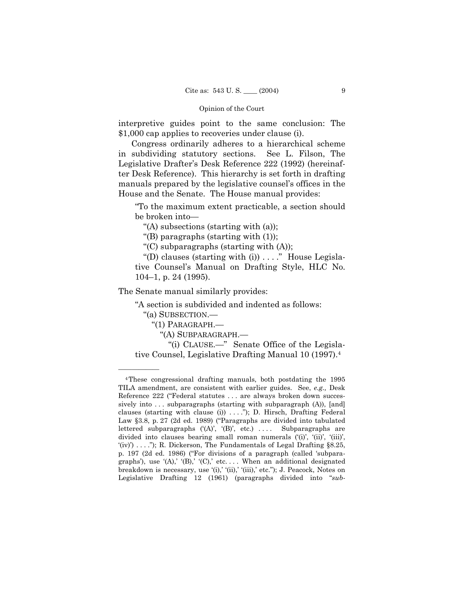interpretive guides point to the same conclusion: The \$1,000 cap applies to recoveries under clause (i).

Congress ordinarily adheres to a hierarchical scheme in subdividing statutory sections. See L. Filson, The Legislative Drafter's Desk Reference 222 (1992) (hereinafter Desk Reference). This hierarchy is set forth in drafting manuals prepared by the legislative counsel's offices in the House and the Senate. The House manual provides:

"To the maximum extent practicable, a section should be broken into—

"(A) subsections (starting with (a));

"(B) paragraphs (starting with (1));

"(C) subparagraphs (starting with (A));

"(D) clauses (starting with  $(i)$ ) ...." House Legislative Counsel's Manual on Drafting Style, HLC No. 104–1, p. 24 (1995).

The Senate manual similarly provides:

"A section is subdivided and indented as follows:

"(a) SUBSECTION.—

——————

"(1) PARAGRAPH.—

"(A) SUBPARAGRAPH.—

 "(i) CLAUSE.—" Senate Office of the Legislative Counsel, Legislative Drafting Manual 10 (1997).4

<sup>4</sup>These congressional drafting manuals, both postdating the 1995 TILA amendment, are consistent with earlier guides. See, *e.g.,* Desk Reference 222 ("Federal statutes . . . are always broken down successively into ... subparagraphs (starting with subparagraph (A)), [and] clauses (starting with clause (i)) . . . ."); D. Hirsch, Drafting Federal Law §3.8, p. 27 (2d ed. 1989) ("Paragraphs are divided into tabulated lettered subparagraphs ('(A)', '(B)', etc.) .... Subparagraphs are divided into clauses bearing small roman numerals ('(i)', '(ii)', '(iii)', '(iv)') . . . ."); R. Dickerson, The Fundamentals of Legal Drafting  $\S 8.25$ , p. 197 (2d ed. 1986) ("For divisions of a paragraph (called 'subparagraphs'), use '(A),' '(B),' '(C),' etc.... When an additional designated breakdown is necessary, use '(i),' '(ii),' '(iii),' etc."); J. Peacock, Notes on Legislative Drafting 12 (1961) (paragraphs divided into "*sub-*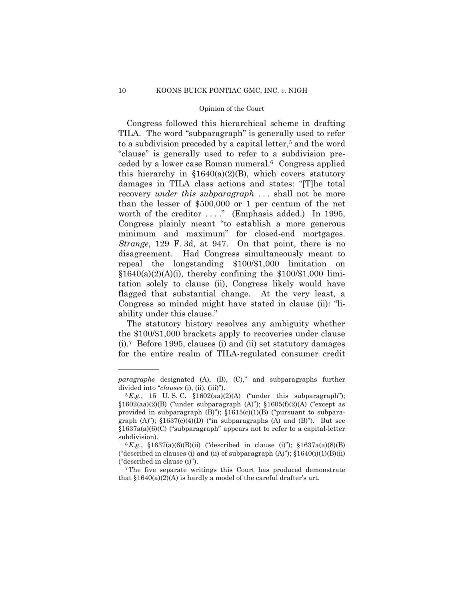Congress followed this hierarchical scheme in drafting TILA. The word "subparagraph" is generally used to refer to a subdivision preceded by a capital letter,<sup>5</sup> and the word "clause" is generally used to refer to a subdivision preceded by a lower case Roman numeral.6 Congress applied this hierarchy in  $$1640(a)(2)(B)$ , which covers statutory damages in TILA class actions and states: "[T]he total recovery *under this subparagraph* . . . shall not be more than the lesser of \$500,000 or 1 per centum of the net worth of the creditor ...." (Emphasis added.) In 1995, Congress plainly meant "to establish a more generous minimum and maximum" for closed-end mortgages. *Strange*, 129 F. 3d, at 947. On that point, there is no disagreement. Had Congress simultaneously meant to repeal the longstanding \$100/\$1,000 limitation on  $$1640(a)(2)(A)(i)$ , thereby confining the  $$100\frac{\$1,000}{i}$  limitation solely to clause (ii), Congress likely would have flagged that substantial change. At the very least, a Congress so minded might have stated in clause (ii): "liability under this clause."

The statutory history resolves any ambiguity whether the \$100/\$1,000 brackets apply to recoveries under clause (i).7 Before 1995, clauses (i) and (ii) set statutory damages for the entire realm of TILA-regulated consumer credit

*paragraphs* designated (A), (B), (C)," and subparagraphs further divided into "*clauses* (i), (ii), (iii)").<br><sup>5</sup>*E.g.*, 15 U. S. C. §1602(aa)(2)(A) ("under this subparagraph");

<sup>§1602(</sup>aa)(2)(B) ("under subparagraph (A)"); §1605(f)(2)(A) ("except as provided in subparagraph (B)"); §1615(c)(1)(B) ("pursuant to subparagraph  $(A)$ ");  $$1637(c)(4)(D)$  ("in subparagraphs  $(A)$  and  $(B)$ "). But see §1637a(a)(6)(C) ("subparagraph" appears not to refer to a capital-letter

subdivision). 6 *E.g.*, §1637(a)(6)(B)(ii) ("described in clause (i)"); §1637a(a)(8)(B) ("described in clauses (i) and (ii) of subparagraph  $(A)$ ");  $§1640(i)(1)(B(ii)$ ("described in clause (i)"). 7The five separate writings this Court has produced demonstrate

that  $$1640(a)(2)(A)$  is hardly a model of the careful drafter's art.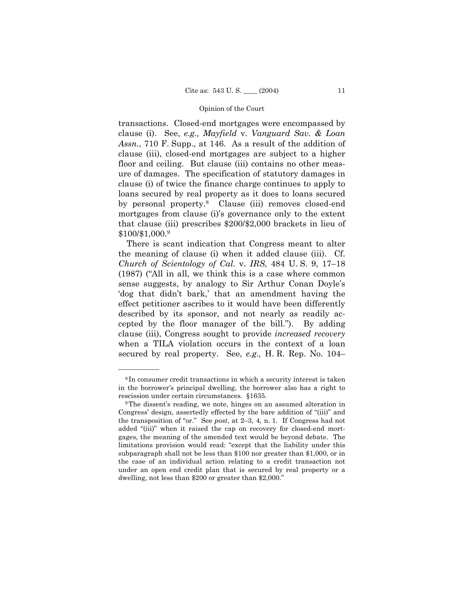transactions. Closed-end mortgages were encompassed by clause (i). See, *e.g., Mayfield* v. *Vanguard Sav. & Loan Assn.*, 710 F. Supp., at 146. As a result of the addition of clause (iii), closed-end mortgages are subject to a higher floor and ceiling. But clause (iii) contains no other measure of damages. The specification of statutory damages in clause (i) of twice the finance charge continues to apply to loans secured by real property as it does to loans secured by personal property.8 Clause (iii) removes closed-end mortgages from clause (i)'s governance only to the extent that clause (iii) prescribes \$200/\$2,000 brackets in lieu of \$100/\$1,000.9

There is scant indication that Congress meant to alter the meaning of clause (i) when it added clause (iii). Cf. *Church of Scientology of Cal.* v. *IRS,* 484 U. S. 9, 17–18 (1987) ("All in all, we think this is a case where common sense suggests, by analogy to Sir Arthur Conan Doyle's 'dog that didn't bark,' that an amendment having the effect petitioner ascribes to it would have been differently described by its sponsor, and not nearly as readily accepted by the floor manager of the bill."). By adding clause (iii), Congress sought to provide *increased recovery* when a TILA violation occurs in the context of a loan secured by real property. See, *e.g.,* H. R. Rep. No. 104–

<sup>8</sup> In consumer credit transactions in which a security interest is taken in the borrower's principal dwelling, the borrower also has a right to rescission under certain circumstances. §1635.<br><sup>9</sup>The dissent's reading, we note, hinges on an assumed alteration in

Congress' design, assertedly effected by the bare addition of "(iii)" and the transposition of "or." See *post*, at 2–3, 4, n. 1. If Congress had not added "(iii)" when it raised the cap on recovery for closed-end mortgages, the meaning of the amended text would be beyond debate. The limitations provision would read: "except that the liability under this subparagraph shall not be less than \$100 nor greater than \$1,000, or in the case of an individual action relating to a credit transaction not under an open end credit plan that is secured by real property or a dwelling, not less than \$200 or greater than \$2,000."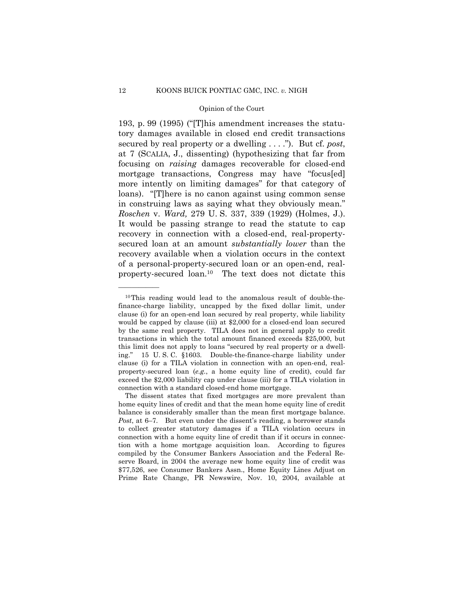193, p. 99 (1995) ("[T]his amendment increases the statutory damages available in closed end credit transactions secured by real property or a dwelling . . . ."). But cf. *post*, at 7 (SCALIA, J., dissenting) (hypothesizing that far from focusing on *raising* damages recoverable for closed-end mortgage transactions, Congress may have "focus[ed] more intently on limiting damages" for that category of loans). "[T]here is no canon against using common sense in construing laws as saying what they obviously mean." *Roschen* v. *Ward,* 279 U. S. 337, 339 (1929) (Holmes, J.). It would be passing strange to read the statute to cap recovery in connection with a closed-end, real-propertysecured loan at an amount *substantially lower* than the recovery available when a violation occurs in the context of a personal-property-secured loan or an open-end, realproperty-secured loan.10 The text does not dictate this

<sup>10</sup>This reading would lead to the anomalous result of double-thefinance-charge liability, uncapped by the fixed dollar limit, under clause (i) for an open-end loan secured by real property, while liability would be capped by clause (iii) at \$2,000 for a closed-end loan secured by the same real property. TILA does not in general apply to credit transactions in which the total amount financed exceeds \$25,000, but this limit does not apply to loans "secured by real property or a dwelling." 15 U. S. C. §1603. Double-the-finance-charge liability under clause (i) for a TILA violation in connection with an open-end, realproperty-secured loan (*e.g.*, a home equity line of credit), could far exceed the \$2,000 liability cap under clause (iii) for a TILA violation in connection with a standard closed-end home mortgage.

The dissent states that fixed mortgages are more prevalent than home equity lines of credit and that the mean home equity line of credit balance is considerably smaller than the mean first mortgage balance. *Post*, at 6–7. But even under the dissent's reading, a borrower stands to collect greater statutory damages if a TILA violation occurs in connection with a home equity line of credit than if it occurs in connection with a home mortgage acquisition loan. According to figures compiled by the Consumer Bankers Association and the Federal Reserve Board, in 2004 the average new home equity line of credit was \$77,526, see Consumer Bankers Assn., Home Equity Lines Adjust on Prime Rate Change, PR Newswire, Nov. 10, 2004, available at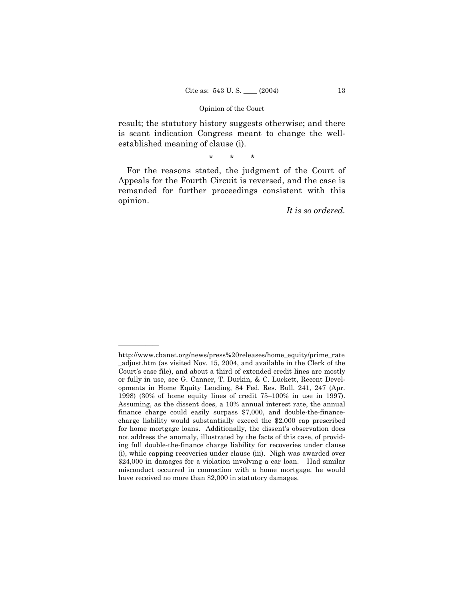result; the statutory history suggests otherwise; and there is scant indication Congress meant to change the wellestablished meaning of clause (i).

\* \* \*

For the reasons stated, the judgment of the Court of Appeals for the Fourth Circuit is reversed, and the case is remanded for further proceedings consistent with this opinion.

*It is so ordered.* 

http://www.cbanet.org/news/press%20releases/home\_equity/prime\_rate \_adjust.htm (as visited Nov. 15, 2004, and available in the Clerk of the Court's case file), and about a third of extended credit lines are mostly or fully in use, see G. Canner, T. Durkin, & C. Luckett, Recent Developments in Home Equity Lending, 84 Fed. Res. Bull. 241, 247 (Apr. 1998) (30% of home equity lines of credit 75–100% in use in 1997). Assuming, as the dissent does, a 10% annual interest rate, the annual finance charge could easily surpass \$7,000, and double-the-financecharge liability would substantially exceed the \$2,000 cap prescribed for home mortgage loans. Additionally, the dissent's observation does not address the anomaly, illustrated by the facts of this case, of providing full double-the-finance charge liability for recoveries under clause (i), while capping recoveries under clause (iii). Nigh was awarded over \$24,000 in damages for a violation involving a car loan. Had similar misconduct occurred in connection with a home mortgage, he would have received no more than \$2,000 in statutory damages.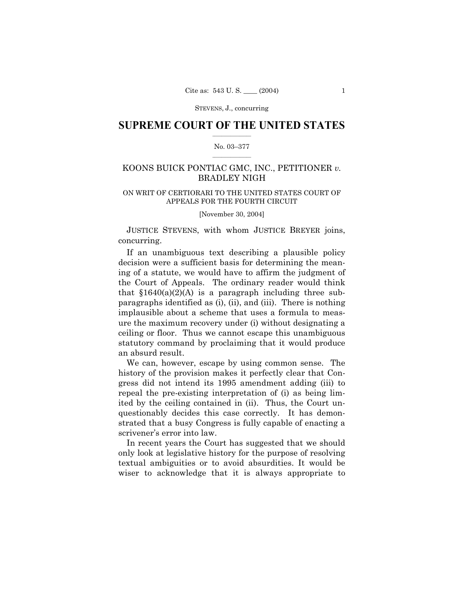STEVENS, J., concurring

# $\frac{1}{2}$  ,  $\frac{1}{2}$  ,  $\frac{1}{2}$  ,  $\frac{1}{2}$  ,  $\frac{1}{2}$  ,  $\frac{1}{2}$  ,  $\frac{1}{2}$ **SUPREME COURT OF THE UNITED STATES**

### $\mathcal{L}=\mathcal{L}$ No. 03–377

# KOONS BUICK PONTIAC GMC, INC., PETITIONER *v.*  BRADLEY NIGH

# ON WRIT OF CERTIORARI TO THE UNITED STATES COURT OF APPEALS FOR THE FOURTH CIRCUIT

[November 30, 2004]

JUSTICE STEVENS, with whom JUSTICE BREYER joins, concurring.

If an unambiguous text describing a plausible policy decision were a sufficient basis for determining the meaning of a statute, we would have to affirm the judgment of the Court of Appeals. The ordinary reader would think that  $$1640(a)(2)(A)$  is a paragraph including three subparagraphs identified as (i), (ii), and (iii). There is nothing implausible about a scheme that uses a formula to measure the maximum recovery under (i) without designating a ceiling or floor. Thus we cannot escape this unambiguous statutory command by proclaiming that it would produce an absurd result.

We can, however, escape by using common sense. The history of the provision makes it perfectly clear that Congress did not intend its 1995 amendment adding (iii) to repeal the pre-existing interpretation of (i) as being limited by the ceiling contained in (ii). Thus, the Court unquestionably decides this case correctly. It has demonstrated that a busy Congress is fully capable of enacting a scrivener's error into law.

In recent years the Court has suggested that we should only look at legislative history for the purpose of resolving textual ambiguities or to avoid absurdities. It would be wiser to acknowledge that it is always appropriate to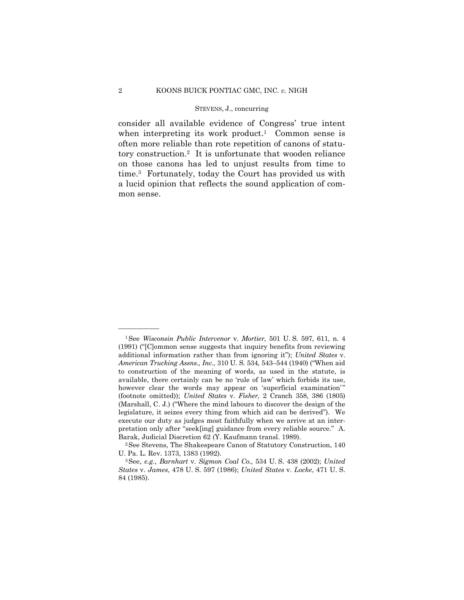### STEVENS, J., concurring

consider all available evidence of Congress' true intent when interpreting its work product.<sup>1</sup> Common sense is often more reliable than rote repetition of canons of statutory construction.2 It is unfortunate that wooden reliance on those canons has led to unjust results from time to time.3 Fortunately, today the Court has provided us with a lucid opinion that reflects the sound application of common sense.

<sup>1</sup>See *Wisconsin Public Intervenor* v. *Mortier,* 501 U. S. 597, 611, n. 4 (1991) ("[C]ommon sense suggests that inquiry benefits from reviewing additional information rather than from ignoring it"); *United States* v. *American Trucking Assns., Inc.,* 310 U. S. 534, 543–544 (1940) ("When aid to construction of the meaning of words, as used in the statute, is available, there certainly can be no 'rule of law' which forbids its use, however clear the words may appear on 'superficial examination'" (footnote omitted)); *United States* v. *Fisher,* 2 Cranch 358, 386 (1805) (Marshall, C. J.) ("Where the mind labours to discover the design of the legislature, it seizes every thing from which aid can be derived"). We execute our duty as judges most faithfully when we arrive at an interpretation only after "seek[ing] guidance from every reliable source." A.

Barak, Judicial Discretion 62 (Y. Kaufmann transl. 1989).<br><sup>2</sup>See Stevens, The Shakespeare Canon of Statutory Construction, 140 U. Pa. L. Rev. 1373, 1383 (1992).

<sup>3</sup>See, *e.g.*, *Barnhart* v. *Sigmon Coal Co.,* 534 U. S. 438 (2002); *United States* v. *James*, 478 U. S. 597 (1986); *United States* v. *Locke*, 471 U. S. 84 (1985).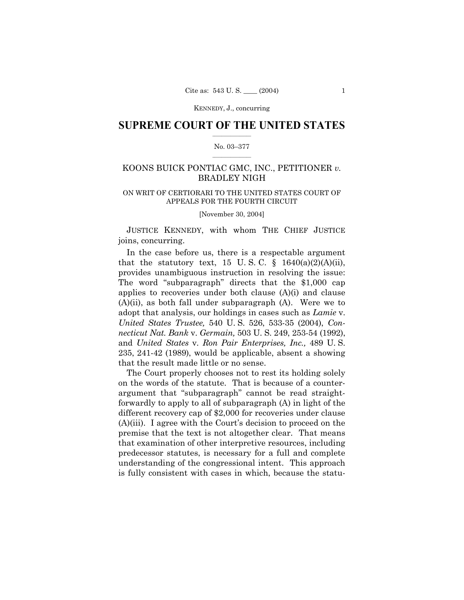KENNEDY, J., concurring

# $\frac{1}{2}$  ,  $\frac{1}{2}$  ,  $\frac{1}{2}$  ,  $\frac{1}{2}$  ,  $\frac{1}{2}$  ,  $\frac{1}{2}$  ,  $\frac{1}{2}$ **SUPREME COURT OF THE UNITED STATES**

### $\mathcal{L}=\mathcal{L}$ No. 03–377

# KOONS BUICK PONTIAC GMC, INC., PETITIONER *v.*  BRADLEY NIGH

# ON WRIT OF CERTIORARI TO THE UNITED STATES COURT OF APPEALS FOR THE FOURTH CIRCUIT

[November 30, 2004]

JUSTICE KENNEDY, with whom THE CHIEF JUSTICE joins, concurring.

In the case before us, there is a respectable argument that the statutory text, 15 U.S.C.  $\S$  1640(a)(2)(A)(ii), provides unambiguous instruction in resolving the issue: The word "subparagraph" directs that the \$1,000 cap applies to recoveries under both clause (A)(i) and clause  $(A)(ii)$ , as both fall under subparagraph  $(A)$ . Were we to adopt that analysis, our holdings in cases such as *Lamie* v. *United States Trustee,* 540 U. S. 526, 533-35 (2004), *Connecticut Nat. Bank* v. *Germain,* 503 U. S. 249, 253-54 (1992), and *United States* v. *Ron Pair Enterprises, Inc.,* 489 U. S. 235, 241-42 (1989), would be applicable, absent a showing that the result made little or no sense.

The Court properly chooses not to rest its holding solely on the words of the statute. That is because of a counterargument that "subparagraph" cannot be read straightforwardly to apply to all of subparagraph (A) in light of the different recovery cap of \$2,000 for recoveries under clause (A)(iii). I agree with the Court's decision to proceed on the premise that the text is not altogether clear. That means that examination of other interpretive resources, including predecessor statutes, is necessary for a full and complete understanding of the congressional intent. This approach is fully consistent with cases in which, because the statu-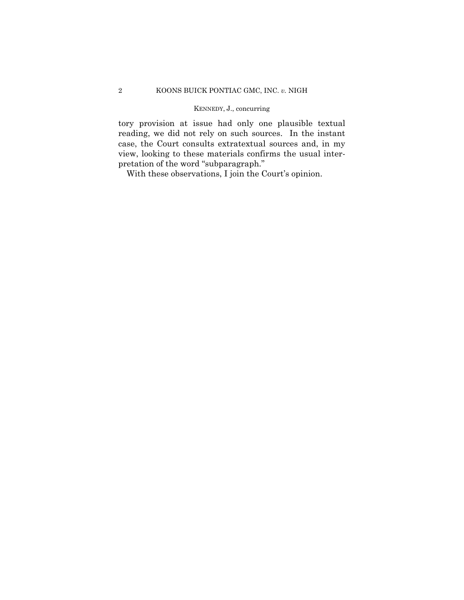# KENNEDY, J., concurring

tory provision at issue had only one plausible textual reading, we did not rely on such sources. In the instant case, the Court consults extratextual sources and, in my view, looking to these materials confirms the usual interpretation of the word "subparagraph."

With these observations, I join the Court's opinion.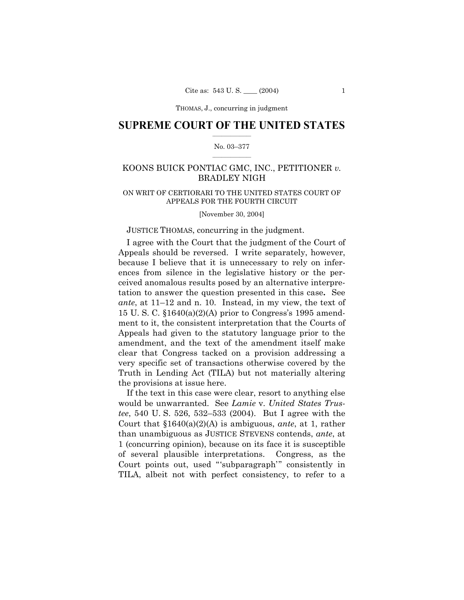# $\frac{1}{2}$  ,  $\frac{1}{2}$  ,  $\frac{1}{2}$  ,  $\frac{1}{2}$  ,  $\frac{1}{2}$  ,  $\frac{1}{2}$  ,  $\frac{1}{2}$ **SUPREME COURT OF THE UNITED STATES**

### $\mathcal{L}=\mathcal{L}$ No. 03–377

# KOONS BUICK PONTIAC GMC, INC., PETITIONER *v.*  BRADLEY NIGH

# ON WRIT OF CERTIORARI TO THE UNITED STATES COURT OF APPEALS FOR THE FOURTH CIRCUIT

[November 30, 2004]

### JUSTICE THOMAS, concurring in the judgment.

I agree with the Court that the judgment of the Court of Appeals should be reversed. I write separately, however, because I believe that it is unnecessary to rely on inferences from silence in the legislative history or the perceived anomalous results posed by an alternative interpretation to answer the question presented in this case**.** See *ante*, at 11–12 and n. 10. Instead, in my view, the text of 15 U. S. C. §1640(a)(2)(A) prior to Congress's 1995 amendment to it, the consistent interpretation that the Courts of Appeals had given to the statutory language prior to the amendment, and the text of the amendment itself make clear that Congress tacked on a provision addressing a very specific set of transactions otherwise covered by the Truth in Lending Act (TILA) but not materially altering the provisions at issue here.

If the text in this case were clear, resort to anything else would be unwarranted. See *Lamie* v. *United States Trustee*, 540 U. S. 526, 532–533 (2004). But I agree with the Court that §1640(a)(2)(A) is ambiguous, *ante*, at 1, rather than unambiguous as JUSTICE STEVENS contends, *ante*, at 1 (concurring opinion), because on its face it is susceptible of several plausible interpretations. Congress, as the Court points out, used "'subparagraph'" consistently in TILA, albeit not with perfect consistency, to refer to a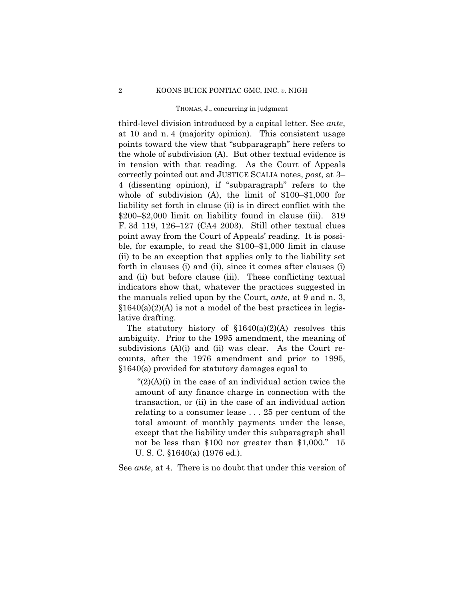third-level division introduced by a capital letter. See *ante*, at 10 and n. 4 (majority opinion). This consistent usage points toward the view that "subparagraph" here refers to the whole of subdivision (A). But other textual evidence is in tension with that reading. As the Court of Appeals correctly pointed out and JUSTICE SCALIA notes, *post*, at 3– 4 (dissenting opinion), if "subparagraph" refers to the whole of subdivision (A), the limit of \$100–\$1,000 for liability set forth in clause (ii) is in direct conflict with the \$200–\$2,000 limit on liability found in clause (iii). 319 F. 3d 119, 126–127 (CA4 2003). Still other textual clues point away from the Court of Appeals' reading. It is possible, for example, to read the \$100–\$1,000 limit in clause (ii) to be an exception that applies only to the liability set forth in clauses (i) and (ii), since it comes after clauses (i) and (ii) but before clause (iii). These conflicting textual indicators show that, whatever the practices suggested in the manuals relied upon by the Court, *ante*, at 9 and n. 3,  $$1640(a)(2)(A)$  is not a model of the best practices in legislative drafting.

The statutory history of  $$1640(a)(2)(A)$  resolves this ambiguity. Prior to the 1995 amendment, the meaning of subdivisions (A)(i) and (ii) was clear. As the Court recounts, after the 1976 amendment and prior to 1995, §1640(a) provided for statutory damages equal to

" $(2)(A)(i)$  in the case of an individual action twice the amount of any finance charge in connection with the transaction, or (ii) in the case of an individual action relating to a consumer lease . . . 25 per centum of the total amount of monthly payments under the lease, except that the liability under this subparagraph shall not be less than \$100 nor greater than \$1,000." 15 U. S. C. §1640(a) (1976 ed.).

See *ante*, at 4. There is no doubt that under this version of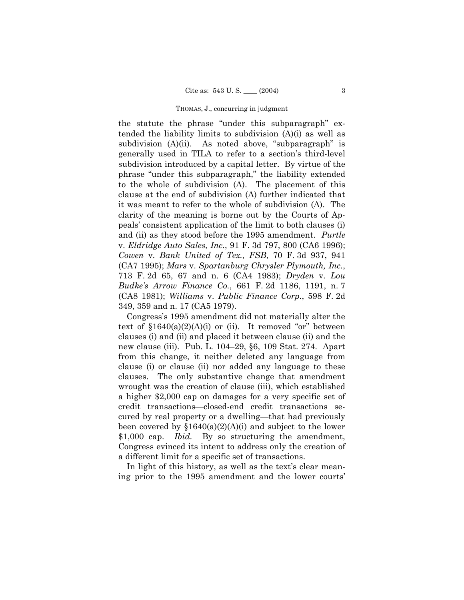the statute the phrase "under this subparagraph" extended the liability limits to subdivision (A)(i) as well as subdivision (A)(ii). As noted above, "subparagraph" is generally used in TILA to refer to a section's third-level subdivision introduced by a capital letter. By virtue of the phrase "under this subparagraph," the liability extended to the whole of subdivision (A). The placement of this clause at the end of subdivision (A) further indicated that it was meant to refer to the whole of subdivision (A). The clarity of the meaning is borne out by the Courts of Appeals' consistent application of the limit to both clauses (i) and (ii) as they stood before the 1995 amendment. *Purtle*  v. *Eldridge Auto Sales, Inc.*, 91 F. 3d 797, 800 (CA6 1996); *Cowen* v. *Bank United of Tex., FSB*, 70 F. 3d 937, 941 (CA7 1995); *Mars* v. *Spartanburg Chrysler Plymouth, Inc.*, 713 F. 2d 65, 67 and n. 6 (CA4 1983); *Dryden* v. *Lou Budke's Arrow Finance Co.*, 661 F. 2d 1186, 1191, n. 7 (CA8 1981); *Williams* v. *Public Finance Corp.*, 598 F. 2d 349, 359 and n. 17 (CA5 1979).

Congress's 1995 amendment did not materially alter the text of  $$1640(a)(2)(A)(i)$  or (ii). It removed "or" between clauses (i) and (ii) and placed it between clause (ii) and the new clause (iii). Pub. L. 104–29, §6, 109 Stat. 274. Apart from this change, it neither deleted any language from clause (i) or clause (ii) nor added any language to these clauses. The only substantive change that amendment wrought was the creation of clause (iii), which established a higher \$2,000 cap on damages for a very specific set of credit transactions—closed-end credit transactions secured by real property or a dwelling—that had previously been covered by  $$1640(a)(2)(A)(i)$  and subject to the lower \$1,000 cap. *Ibid.* By so structuring the amendment, Congress evinced its intent to address only the creation of a different limit for a specific set of transactions.

In light of this history, as well as the text's clear meaning prior to the 1995 amendment and the lower courts'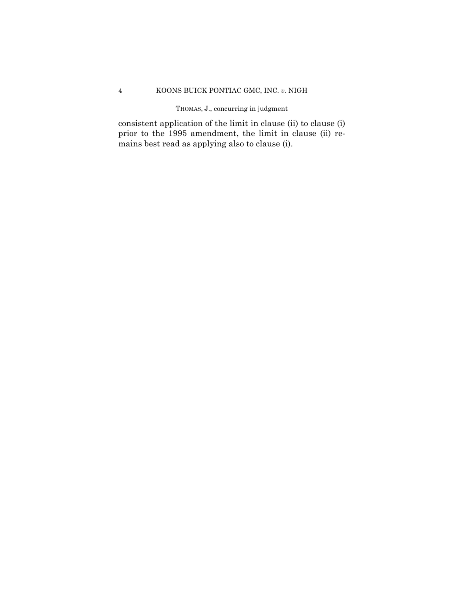consistent application of the limit in clause (ii) to clause (i) prior to the 1995 amendment, the limit in clause (ii) remains best read as applying also to clause (i).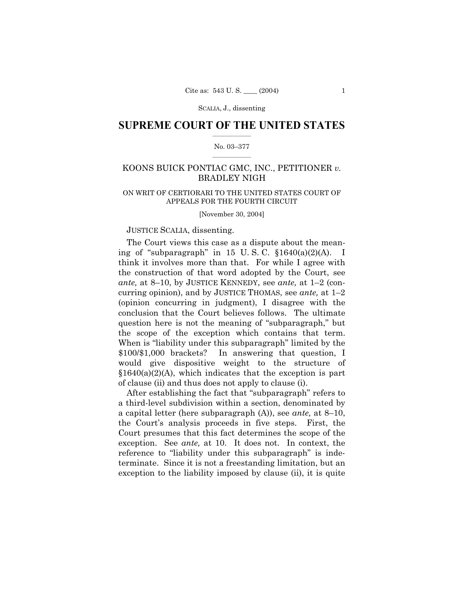# $\frac{1}{2}$  ,  $\frac{1}{2}$  ,  $\frac{1}{2}$  ,  $\frac{1}{2}$  ,  $\frac{1}{2}$  ,  $\frac{1}{2}$  ,  $\frac{1}{2}$ **SUPREME COURT OF THE UNITED STATES**

### $\mathcal{L}=\mathcal{L}$ No. 03–377

# KOONS BUICK PONTIAC GMC, INC., PETITIONER *v.*  BRADLEY NIGH

# ON WRIT OF CERTIORARI TO THE UNITED STATES COURT OF APPEALS FOR THE FOURTH CIRCUIT

[November 30, 2004]

# JUSTICE SCALIA, dissenting.

The Court views this case as a dispute about the meaning of "subparagraph" in 15 U.S.C.  $$1640(a)(2)(A)$ . I think it involves more than that. For while I agree with the construction of that word adopted by the Court, see *ante,* at 8–10, by JUSTICE KENNEDY, see *ante,* at 1–2 (concurring opinion), and by JUSTICE THOMAS, see *ante,* at 1–2 (opinion concurring in judgment), I disagree with the conclusion that the Court believes follows. The ultimate question here is not the meaning of "subparagraph," but the scope of the exception which contains that term. When is "liability under this subparagraph" limited by the \$100/\$1,000 brackets? In answering that question, I would give dispositive weight to the structure of  $$1640(a)(2)(A)$ , which indicates that the exception is part of clause (ii) and thus does not apply to clause (i).

After establishing the fact that "subparagraph" refers to a third-level subdivision within a section, denominated by a capital letter (here subparagraph (A)), see *ante,* at 8–10, the Court's analysis proceeds in five steps. First, the Court presumes that this fact determines the scope of the exception. See *ante,* at 10. It does not. In context, the reference to "liability under this subparagraph" is indeterminate. Since it is not a freestanding limitation, but an exception to the liability imposed by clause (ii), it is quite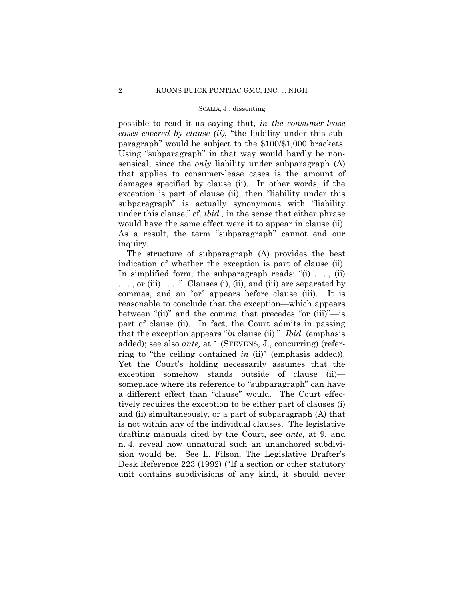possible to read it as saying that, *in the consumer-lease cases covered by clause (ii)*, "the liability under this subparagraph" would be subject to the \$100/\$1,000 brackets. Using "subparagraph" in that way would hardly be nonsensical, since the *only* liability under subparagraph (A) that applies to consumer-lease cases is the amount of damages specified by clause (ii). In other words, if the exception is part of clause (ii), then "liability under this subparagraph" is actually synonymous with "liability under this clause," cf. *ibid.,* in the sense that either phrase would have the same effect were it to appear in clause (ii). As a result, the term "subparagraph" cannot end our inquiry.

The structure of subparagraph (A) provides the best indication of whether the exception is part of clause (ii). In simplified form, the subparagraph reads: "(i)  $\dots$ , (ii)  $\dots$ , or (iii)  $\dots$ ." Clauses (i), (ii), and (iii) are separated by commas, and an "or" appears before clause (iii). It is reasonable to conclude that the exception—which appears between "(ii)" and the comma that precedes "or (iii)"—is part of clause (ii). In fact, the Court admits in passing that the exception appears "*in* clause (ii)." *Ibid.* (emphasis added); see also *ante,* at 1 (STEVENS, J., concurring) (referring to "the ceiling contained *in* (ii)" (emphasis added)). Yet the Court's holding necessarily assumes that the exception somehow stands outside of clause (ii) someplace where its reference to "subparagraph" can have a different effect than "clause" would. The Court effectively requires the exception to be either part of clauses (i) and (ii) simultaneously, or a part of subparagraph (A) that is not within any of the individual clauses. The legislative drafting manuals cited by the Court, see *ante,* at 9, and n. 4, reveal how unnatural such an unanchored subdivision would be. See L. Filson, The Legislative Drafter's Desk Reference 223 (1992) ("If a section or other statutory unit contains subdivisions of any kind, it should never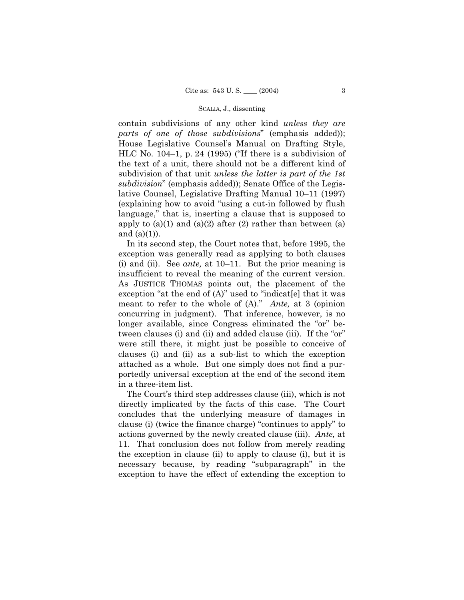contain subdivisions of any other kind *unless they are parts of one of those subdivisions*" (emphasis added)); House Legislative Counsel's Manual on Drafting Style, HLC No. 104–1, p. 24 (1995) ("If there is a subdivision of the text of a unit, there should not be a different kind of subdivision of that unit *unless the latter is part of the 1st subdivision*" (emphasis added)); Senate Office of the Legislative Counsel, Legislative Drafting Manual 10–11 (1997) (explaining how to avoid "using a cut-in followed by flush language," that is, inserting a clause that is supposed to apply to  $(a)(1)$  and  $(a)(2)$  after  $(2)$  rather than between  $(a)$ and  $(a)(1)$ ).

In its second step, the Court notes that, before 1995, the exception was generally read as applying to both clauses (i) and (ii). See *ante,* at 10–11. But the prior meaning is insufficient to reveal the meaning of the current version. As JUSTICE THOMAS points out, the placement of the exception "at the end of  $(A)$ " used to "indicatell" that it was meant to refer to the whole of (A)." *Ante,* at 3 (opinion concurring in judgment). That inference, however, is no longer available, since Congress eliminated the "or" between clauses (i) and (ii) and added clause (iii). If the "or" were still there, it might just be possible to conceive of clauses (i) and (ii) as a sub-list to which the exception attached as a whole. But one simply does not find a purportedly universal exception at the end of the second item in a three-item list.

The Court's third step addresses clause (iii), which is not directly implicated by the facts of this case. The Court concludes that the underlying measure of damages in clause (i) (twice the finance charge) "continues to apply" to actions governed by the newly created clause (iii). *Ante,* at 11. That conclusion does not follow from merely reading the exception in clause (ii) to apply to clause (i), but it is necessary because, by reading "subparagraph" in the exception to have the effect of extending the exception to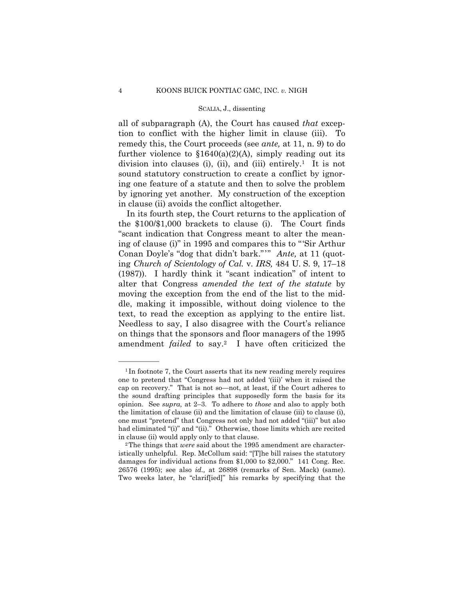all of subparagraph (A), the Court has caused *that* exception to conflict with the higher limit in clause (iii). To remedy this, the Court proceeds (see *ante,* at 11, n. 9) to do further violence to  $$1640(a)(2)(A)$ , simply reading out its division into clauses (i), (ii), and (iii) entirely.<sup>1</sup> It is not sound statutory construction to create a conflict by ignoring one feature of a statute and then to solve the problem by ignoring yet another. My construction of the exception in clause (ii) avoids the conflict altogether.

In its fourth step, the Court returns to the application of the \$100/\$1,000 brackets to clause (i). The Court finds "scant indication that Congress meant to alter the meaning of clause (i)" in 1995 and compares this to " 'Sir Arthur Conan Doyle's "dog that didn't bark."" Ante, at 11 (quoting *Church of Scientology of Cal.* v. *IRS,* 484 U. S. 9, 17–18 (1987)). I hardly think it "scant indication" of intent to alter that Congress *amended the text of the statute* by moving the exception from the end of the list to the middle, making it impossible, without doing violence to the text, to read the exception as applying to the entire list. Needless to say, I also disagree with the Court's reliance on things that the sponsors and floor managers of the 1995 amendment *failed* to say.2 I have often criticized the

<sup>&</sup>lt;sup>1</sup>In footnote 7, the Court asserts that its new reading merely requires one to pretend that "Congress had not added '(iii)' when it raised the cap on recovery." That is not so—not, at least, if the Court adheres to the sound drafting principles that supposedly form the basis for its opinion. See *supra,* at 2–3. To adhere to *those* and also to apply both the limitation of clause (ii) and the limitation of clause (iii) to clause (i), one must "pretend" that Congress not only had not added "(iii)" but also had eliminated "(i)" and "(ii)." Otherwise, those limits which are recited in clause (ii) would apply only to that clause. 2The things that *were* said about the 1995 amendment are character-

istically unhelpful. Rep. McCollum said: "[T]he bill raises the statutory damages for individual actions from \$1,000 to \$2,000." 141 Cong. Rec. 26576 (1995); see also *id.,* at 26898 (remarks of Sen. Mack) (same). Two weeks later, he "clarif[ied]" his remarks by specifying that the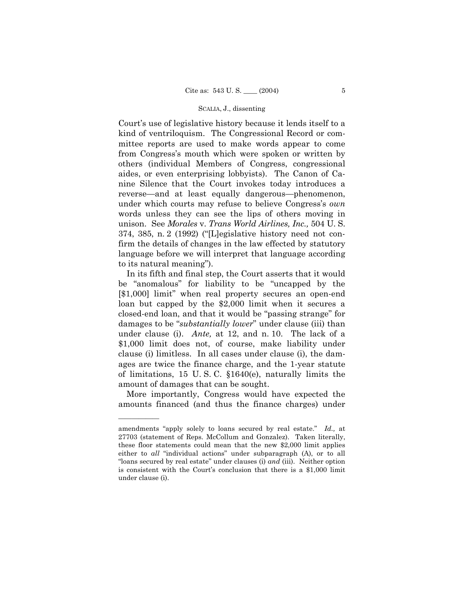Court's use of legislative history because it lends itself to a kind of ventriloquism. The Congressional Record or committee reports are used to make words appear to come from Congress's mouth which were spoken or written by others (individual Members of Congress, congressional aides, or even enterprising lobbyists). The Canon of Canine Silence that the Court invokes today introduces a reverse—and at least equally dangerous—phenomenon, under which courts may refuse to believe Congress's *own*  words unless they can see the lips of others moving in unison. See *Morales* v. *Trans World Airlines, Inc.,* 504 U. S. 374, 385, n. 2 (1992) ("[L]egislative history need not confirm the details of changes in the law effected by statutory language before we will interpret that language according to its natural meaning").

In its fifth and final step, the Court asserts that it would be "anomalous" for liability to be "uncapped by the [\$1,000] limit" when real property secures an open-end loan but capped by the \$2,000 limit when it secures a closed-end loan, and that it would be "passing strange" for damages to be "*substantially lower*" under clause (iii) than under clause (i). *Ante,* at 12, and n. 10. The lack of a \$1,000 limit does not, of course, make liability under clause (i) limitless. In all cases under clause (i), the damages are twice the finance charge, and the 1-year statute of limitations, 15 U. S. C. §1640(e), naturally limits the amount of damages that can be sought.

More importantly, Congress would have expected the amounts financed (and thus the finance charges) under

amendments "apply solely to loans secured by real estate." *Id.,* at 27703 (statement of Reps. McCollum and Gonzalez). Taken literally, these floor statements could mean that the new \$2,000 limit applies either to *all* "individual actions" under subparagraph (A), or to all "loans secured by real estate" under clauses (i) *and* (iii). Neither option is consistent with the Court's conclusion that there is a \$1,000 limit under clause (i).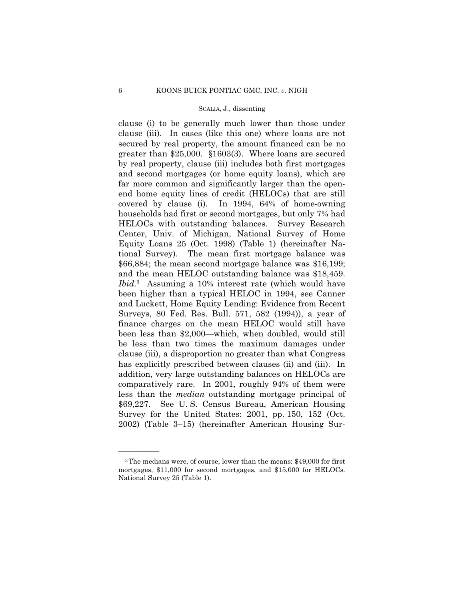clause (i) to be generally much lower than those under clause (iii). In cases (like this one) where loans are not secured by real property, the amount financed can be no greater than \$25,000. §1603(3). Where loans are secured by real property, clause (iii) includes both first mortgages and second mortgages (or home equity loans), which are far more common and significantly larger than the openend home equity lines of credit (HELOCs) that are still covered by clause (i). In 1994, 64% of home-owning households had first or second mortgages, but only 7% had HELOCs with outstanding balances. Survey Research Center, Univ. of Michigan, National Survey of Home Equity Loans 25 (Oct. 1998) (Table 1) (hereinafter National Survey). The mean first mortgage balance was \$66,884; the mean second mortgage balance was \$16,199; and the mean HELOC outstanding balance was \$18,459. *Ibid.*3 Assuming a 10% interest rate (which would have been higher than a typical HELOC in 1994, see Canner and Luckett, Home Equity Lending: Evidence from Recent Surveys, 80 Fed. Res. Bull. 571, 582 (1994)), a year of finance charges on the mean HELOC would still have been less than \$2,000—which, when doubled, would still be less than two times the maximum damages under clause (iii), a disproportion no greater than what Congress has explicitly prescribed between clauses (ii) and (iii). In addition, very large outstanding balances on HELOCs are comparatively rare. In 2001, roughly 94% of them were less than the *median* outstanding mortgage principal of \$69,227. See U. S. Census Bureau, American Housing Survey for the United States: 2001, pp. 150, 152 (Oct. 2002) (Table 3–15) (hereinafter American Housing Sur-

<sup>3</sup>The medians were, of course, lower than the means: \$49,000 for first mortgages, \$11,000 for second mortgages, and \$15,000 for HELOCs. National Survey 25 (Table 1).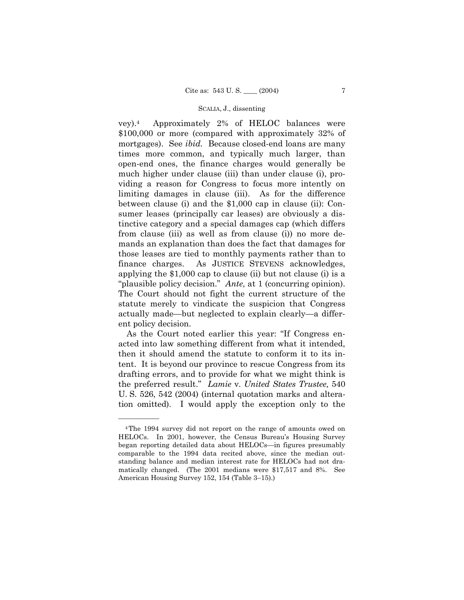vey).4 Approximately 2% of HELOC balances were \$100,000 or more (compared with approximately 32% of mortgages). See *ibid.* Because closed-end loans are many times more common, and typically much larger, than open-end ones, the finance charges would generally be much higher under clause (iii) than under clause (i), providing a reason for Congress to focus more intently on limiting damages in clause (iii). As for the difference between clause (i) and the \$1,000 cap in clause (ii): Consumer leases (principally car leases) are obviously a distinctive category and a special damages cap (which differs from clause (iii) as well as from clause (i)) no more demands an explanation than does the fact that damages for those leases are tied to monthly payments rather than to finance charges. As JUSTICE STEVENS acknowledges, applying the \$1,000 cap to clause (ii) but not clause (i) is a "plausible policy decision." *Ante,* at 1 (concurring opinion). The Court should not fight the current structure of the statute merely to vindicate the suspicion that Congress actually made—but neglected to explain clearly—a different policy decision.

As the Court noted earlier this year: "If Congress enacted into law something different from what it intended, then it should amend the statute to conform it to its intent. It is beyond our province to rescue Congress from its drafting errors, and to provide for what we might think is the preferred result." *Lamie* v. *United States Trustee,* 540 U. S. 526, 542 (2004) (internal quotation marks and alteration omitted). I would apply the exception only to the

<sup>4</sup>The 1994 survey did not report on the range of amounts owed on HELOCs. In 2001, however, the Census Bureau's Housing Survey began reporting detailed data about HELOCs—in figures presumably comparable to the 1994 data recited above, since the median outstanding balance and median interest rate for HELOCs had not dramatically changed. (The 2001 medians were \$17,517 and 8%. See American Housing Survey 152, 154 (Table 3–15).)